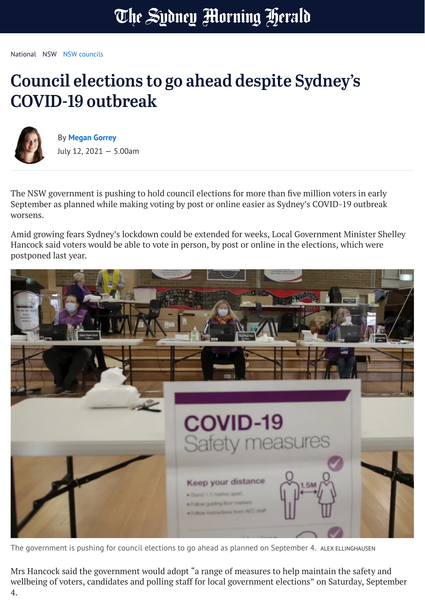## The Sydney Morning Herald

[National](https://www.smh.com.au/national) [NSW](https://www.smh.com.au/national/nsw) NSW [councils](https://www.smh.com.au/topic/nsw-councils-1net)

## Council elections to go ahead despite Sydney's COVID-19 outbreak



By **[Megan](https://www.smh.com.au/by/megan-gorrey-hvf3y) Gorrey** July 12, 2021 — 5.00am

The NSW government is pushing to hold council elections for more than five million voters in early September as planned while making voting by post or online easier as Sydney's COVID-19 outbreak worsens.

Amid growing fears Sydney's lockdown could be extended for weeks, Local Government Minister Shelley Hancock said voters would be able to vote in person, by post or online in the elections, which were postponed last year.



The government is pushing for council elections to go ahead as planned on September 4. ALEX ELLINGHAUSEN

Mrs Hancock said the government would adopt "a range of measures to help maintain the safety and wellbeing of voters, candidates and polling staff for local government elections" on Saturday, September 4.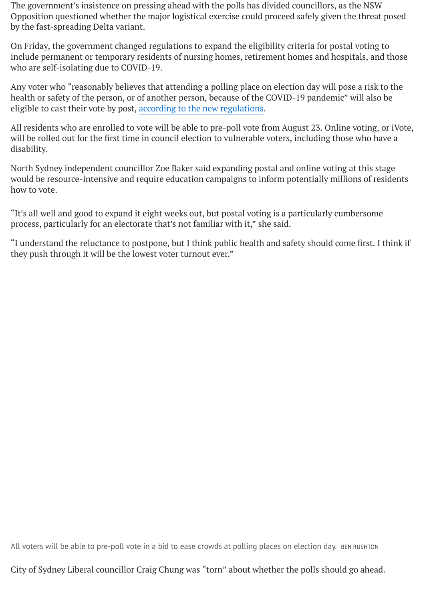The government's insistence on pressing ahead with the polls has divided councillors, as the NSW Opposition questioned whether the major logistical exercise could proceed safely given the threat posed by the fast-spreading Delta variant.

On Friday, the government changed regulations to expand the eligibility criteria for postal voting to include permanent or temporary residents of nursing homes, retirement homes and hospitals, and those who are self-isolating due to COVID-19.

Any voter who "reasonably believes that attending a polling place on election day will pose a risk to the health or safety of the person, or of another person, because of the COVID-19 pandemic" will also be eligible to cast their vote by post, [according to](https://legislation.nsw.gov.au/view/pdf/asmade/sl-2021-371) the new regulations.

All residents who are enrolled to vote will be able to pre-poll vote from August 23. Online voting, or iVote, will be rolled out for the first time in council election to vulnerable voters, including those who have a disability.

North Sydney independent councillor Zoe Baker said expanding postal and online voting at this stage would be resource-intensive and require education campaigns to inform potentially millions of residents how to vote.

"It's all well and good to expand it eight weeks out, but postal voting is a particularly cumbersome process, particularly for an electorate that's not familiar with it," she said.

"I understand the reluctance to postpone, but I think public health and safety should come first. I think if they push through it will be the lowest voter turnout ever."

All voters will be able to pre-poll vote in a bid to ease crowds at polling places on election day. BEN RUSHTON